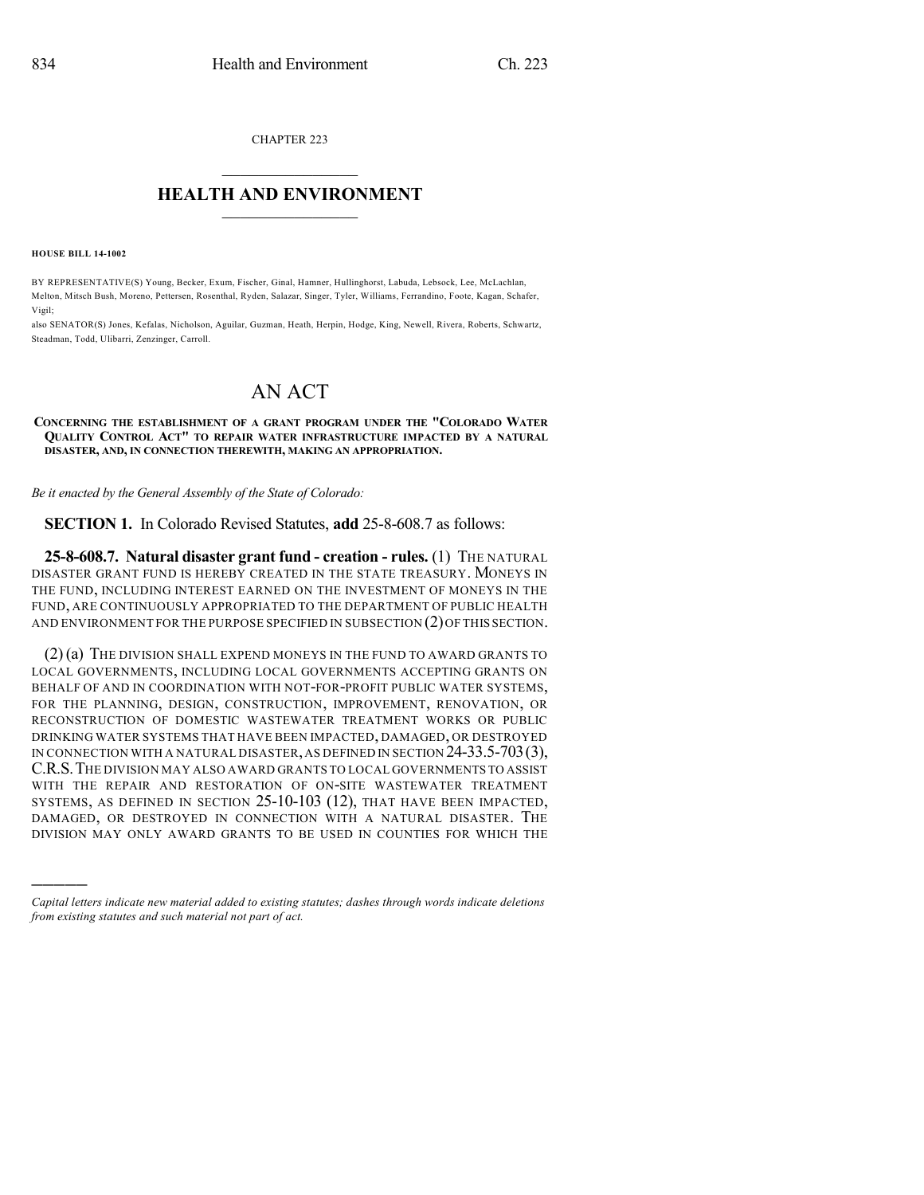CHAPTER 223  $\mathcal{L}_\text{max}$  . The set of the set of the set of the set of the set of the set of the set of the set of the set of the set of the set of the set of the set of the set of the set of the set of the set of the set of the set

## **HEALTH AND ENVIRONMENT**  $\_$

**HOUSE BILL 14-1002**

)))))

BY REPRESENTATIVE(S) Young, Becker, Exum, Fischer, Ginal, Hamner, Hullinghorst, Labuda, Lebsock, Lee, McLachlan, Melton, Mitsch Bush, Moreno, Pettersen, Rosenthal, Ryden, Salazar, Singer, Tyler, Williams, Ferrandino, Foote, Kagan, Schafer, Vigil;

also SENATOR(S) Jones, Kefalas, Nicholson, Aguilar, Guzman, Heath, Herpin, Hodge, King, Newell, Rivera, Roberts, Schwartz, Steadman, Todd, Ulibarri, Zenzinger, Carroll.

## AN ACT

## **CONCERNING THE ESTABLISHMENT OF A GRANT PROGRAM UNDER THE "COLORADO WATER QUALITY CONTROL ACT" TO REPAIR WATER INFRASTRUCTURE IMPACTED BY A NATURAL DISASTER, AND, IN CONNECTION THEREWITH, MAKING AN APPROPRIATION.**

*Be it enacted by the General Assembly of the State of Colorado:*

**SECTION 1.** In Colorado Revised Statutes, **add** 25-8-608.7 as follows:

**25-8-608.7. Natural disaster grant fund - creation - rules.** (1) THE NATURAL DISASTER GRANT FUND IS HEREBY CREATED IN THE STATE TREASURY. MONEYS IN THE FUND, INCLUDING INTEREST EARNED ON THE INVESTMENT OF MONEYS IN THE FUND, ARE CONTINUOUSLY APPROPRIATED TO THE DEPARTMENT OF PUBLIC HEALTH AND ENVIRONMENT FOR THE PURPOSE SPECIFIED IN SUBSECTION (2)OF THIS SECTION.

(2)(a) THE DIVISION SHALL EXPEND MONEYS IN THE FUND TO AWARD GRANTS TO LOCAL GOVERNMENTS, INCLUDING LOCAL GOVERNMENTS ACCEPTING GRANTS ON BEHALF OF AND IN COORDINATION WITH NOT-FOR-PROFIT PUBLIC WATER SYSTEMS, FOR THE PLANNING, DESIGN, CONSTRUCTION, IMPROVEMENT, RENOVATION, OR RECONSTRUCTION OF DOMESTIC WASTEWATER TREATMENT WORKS OR PUBLIC DRINKING WATER SYSTEMS THAT HAVE BEEN IMPACTED, DAMAGED, OR DESTROYED IN CONNECTION WITH A NATURAL DISASTER,AS DEFINED IN SECTION 24-33.5-703(3), C.R.S.THE DIVISION MAY ALSO AWARD GRANTS TO LOCAL GOVERNMENTS TO ASSIST WITH THE REPAIR AND RESTORATION OF ON-SITE WASTEWATER TREATMENT SYSTEMS, AS DEFINED IN SECTION 25-10-103 (12), THAT HAVE BEEN IMPACTED, DAMAGED, OR DESTROYED IN CONNECTION WITH A NATURAL DISASTER. THE DIVISION MAY ONLY AWARD GRANTS TO BE USED IN COUNTIES FOR WHICH THE

*Capital letters indicate new material added to existing statutes; dashes through words indicate deletions from existing statutes and such material not part of act.*